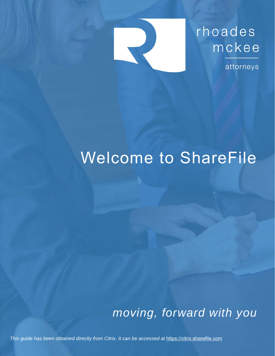

attorneys

# Welcome to ShareFile

*moving, forward with you* 

*This guide has been obtained directly from Citrix. It can be accessed at* https://citrix.sharefile.com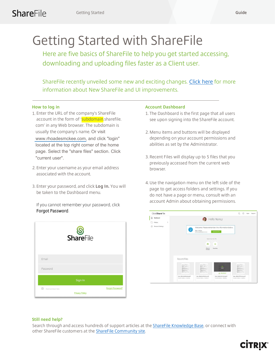## Getting Started with ShareFile

Here are five basics of ShareFile to help you get started accessing, downloading and uploading files faster as a Client user.

ShareFile recently unveiled some new and exciting changes. [Click here](https://sharefile.com/new-sharefile) for more information about New ShareFile and UI improvements.

## **How to log in**

- 1. Enter the URL of the company's ShareFile account in the form of 'subdomain.sharefile. com' in any Web browser. The subdomain is usually the company's name. Or visit [www.rhoadesmckee.com,](www.rhoadesmckee.com) and click "login" located at the top right corner of the home page. Select the "share files" section. Click "current user".
- 2. Enter your username as your email address associated with the account.
- 3. Enter your password, and click **Log In.** You will be taken to the Dashboard menu.

If you cannot remember your password, click Forgot Password.



## **Account Dashboard**

- 1. The Dashboard is the first page that all users see upon signing into the ShareFile account.
- 2. Menu items and buttons will be displayed depending on your account permissions and abilities as set by the Administrator.
- 3. Recent Files will display up to 5 files that you previously accessed from the current web browser.
- 4. Use the navigation menu on the left side of the page to get access folders and settings. If you do not have a page or menu, consult with an account Admin about obtaining permissions.



**CİTRIX®** 

## **Still need help?**

Search through and access hundreds of support articles at the **ShareFile Knowledge Base**, or connect with other ShareFile customers at the [ShareFile Community site.](https://community.sharefilesupport.com/)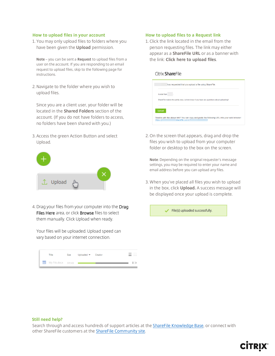#### **How to upload files in your account**

1. You may only upload files to folders where you have been given the **Upload** permission.

**Note** – you can be sent a **Request** to upload files from a user on the account. If you are responding to an email request to upload files, skip to the following page for instructions.

2. Navigate to the folder where you wish to upload files.

Since you are a client user, your folder will be located in the **Shared Folders** section of the account. (If you do not have folders to access, no folders have been shared with you.)

3. Access the green Action Button and select Upload.



4. Drag your files from your computer into the Drag Files Here area, or click Browse files to select them manually. Click Upload when ready.

Your files will be uploaded. Upload speed can vary based on your internet connection.



#### **How to upload files to a Request link**

1. Click the link located in the email from the person requesting files. The link may either appear as a **ShareFile URL** or as a banner with the link: **Click here to upload files**.

#### Citrix ShareFile

| A note from |                                                                                          |
|-------------|------------------------------------------------------------------------------------------|
|             | ShareFile makes this pretty easy. Let me know if you have any questions about uploading! |
|             |                                                                                          |
|             |                                                                                          |
| Upload      |                                                                                          |

2. On the screen that appears, drag and drop the files you wish to upload from your computer folder or desktop to the box on the screen.

**Note**: Depending on the original requester's message settings, you may be required to enter your name and email address before you can upload any files.

3. When you've placed all files you wish to upload in the box, click **Upload.** A success message will be displayed once your upload is complete.

File(s) uploaded successfully.

**CİTRIX** 

#### **Still need help?**

Search through and access hundreds of support articles at the **ShareFile Knowledge Base**, or connect with other ShareFile customers at the [ShareFile Community site.](https://community.sharefilesupport.com/)